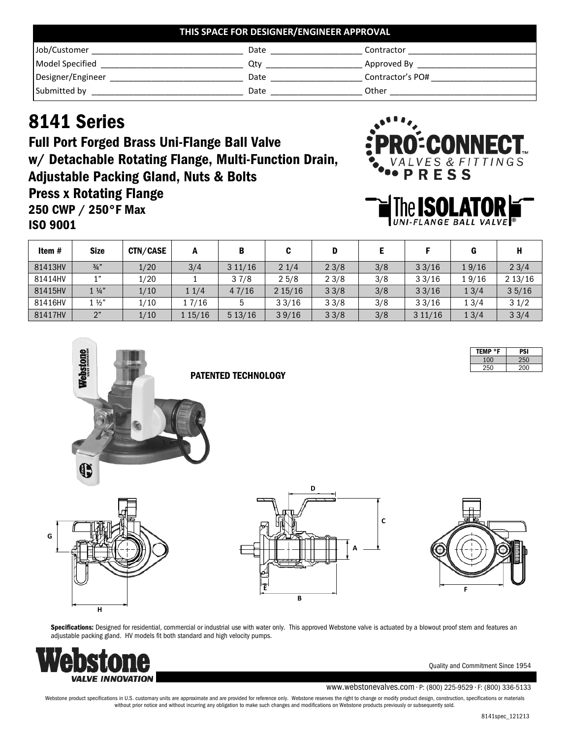| THIS SPACE FOR DESIGNER/ENGINEER APPROVAL |      |                  |  |  |
|-------------------------------------------|------|------------------|--|--|
| Job/Customer                              | Date | Contractor       |  |  |
| Model Specified                           | Otv  | Approved By      |  |  |
| Designer/Engineer                         | Date | Contractor's PO# |  |  |
| Submitted by                              | Date | Other            |  |  |

## 8141 Series

Full Port Forged Brass Uni-Flange Ball Valve w/ Detachable Rotating Flange, Multi-Function Drain, Adjustable Packing Gland, Nuts & Bolts Press x Rotating Flange 250 CWP / 250°F Max ISO 9001





| Item #  | <b>Size</b>    | <b>CTN/CASE</b> | A       | B      |        | D    |     |        |       |        |
|---------|----------------|-----------------|---------|--------|--------|------|-----|--------|-------|--------|
| 81413HV | $\frac{3}{4}$  | 1/20            | 3/4     | 311/16 | 21/4   | 23/8 | 3/8 | 33/16  | 19/16 | 23/4   |
| 81414HV | 1"             | 1/20            |         | 37/8   | 25/8   | 23/8 | 3/8 | 33/16  | 19/16 | 213/16 |
| 81415HV | $1\frac{1}{4}$ | 1/10            | 11/4    | 47/16  | 215/16 | 33/8 | 3/8 | 33/16  | 13/4  | 35/16  |
| 81416HV | $1\frac{1}{2}$ | 1/10            | 17/16   |        | 33/16  | 33/8 | 3/8 | 33/16  | 13/4  | 31/2   |
| 81417HV | 2"             | 1/10            | l 15/16 | 513/16 | 39/16  | 33/8 | 3/8 | 311/16 | 13/4  | 33/4   |

| <b>TEMP °F</b> | PSI |
|----------------|-----|
| 100            | 250 |
| 250            | 200 |







Specifications: Designed for residential, commercial or industrial use with water only. This approved Webstone valve is actuated by a blowout proof stem and features an adjustable packing gland. HV models fit both standard and high velocity pumps.



**H**

**G**

Quality and Commitment Since 1954

## www.webstonevalves.com • P: (800) 225-9529 • F: (800) 336-5133

Webstone product specifications in U.S. customary units are approximate and are provided for reference only. Webstone reserves the right to change or modify product design, construction, specifications or materials without prior notice and without incurring any obligation to make such changes and modifications on Webstone products previously or subsequently sold.